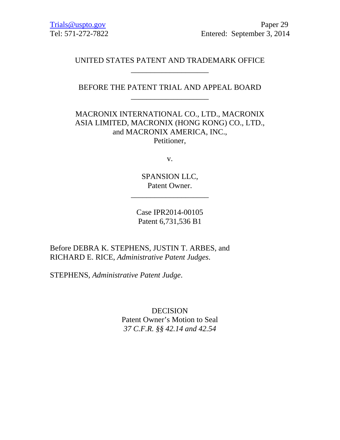#### UNITED STATES PATENT AND TRADEMARK OFFICE \_\_\_\_\_\_\_\_\_\_\_\_\_\_\_\_\_\_\_\_

### BEFORE THE PATENT TRIAL AND APPEAL BOARD \_\_\_\_\_\_\_\_\_\_\_\_\_\_\_\_\_\_\_\_

# MACRONIX INTERNATIONAL CO., LTD., MACRONIX ASIA LIMITED, MACRONIX (HONG KONG) CO., LTD., and MACRONIX AMERICA, INC., Petitioner,

v.

SPANSION LLC, Patent Owner.

\_\_\_\_\_\_\_\_\_\_\_\_\_\_\_\_\_\_\_\_

Case IPR2014-00105 Patent 6,731,536 B1

Before DEBRA K. STEPHENS, JUSTIN T. ARBES, and RICHARD E. RICE, *Administrative Patent Judges*.

STEPHENS, *Administrative Patent Judge*.

DECISION

Patent Owner's Motion to Seal *37 C.F.R. §§ 42.14 and 42.54*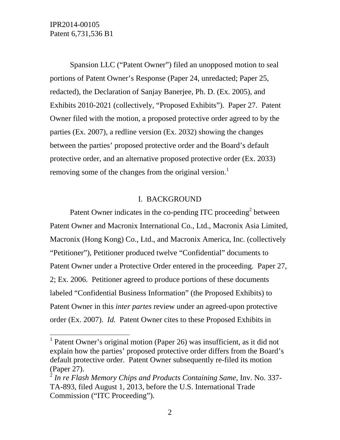$\overline{a}$ 

Spansion LLC ("Patent Owner") filed an unopposed motion to seal portions of Patent Owner's Response (Paper 24, unredacted; Paper 25, redacted), the Declaration of Sanjay Banerjee, Ph. D. (Ex. 2005), and Exhibits 2010-2021 (collectively, "Proposed Exhibits"). Paper 27. Patent Owner filed with the motion, a proposed protective order agreed to by the parties (Ex. 2007), a redline version (Ex. 2032) showing the changes between the parties' proposed protective order and the Board's default protective order, and an alternative proposed protective order (Ex. 2033) removing some of the changes from the original version.<sup>1</sup>

#### I. BACKGROUND

Patent Owner indicates in the co-pending ITC proceeding<sup>2</sup> between Patent Owner and Macronix International Co., Ltd., Macronix Asia Limited, Macronix (Hong Kong) Co., Ltd., and Macronix America, Inc. (collectively "Petitioner"), Petitioner produced twelve "Confidential" documents to Patent Owner under a Protective Order entered in the proceeding. Paper 27, 2; Ex. 2006. Petitioner agreed to produce portions of these documents labeled "Confidential Business Information" (the Proposed Exhibits) to Patent Owner in this *inter partes* review under an agreed-upon protective order (Ex. 2007). *Id.* Patent Owner cites to these Proposed Exhibits in

<sup>&</sup>lt;sup>1</sup> Patent Owner's original motion (Paper 26) was insufficient, as it did not explain how the parties' proposed protective order differs from the Board's default protective order. Patent Owner subsequently re-filed its motion (Paper 27).

<sup>2</sup> *In re Flash Memory Chips and Products Containing Same*, Inv. No. 337- TA-893, filed August 1, 2013, before the U.S. International Trade Commission ("ITC Proceeding").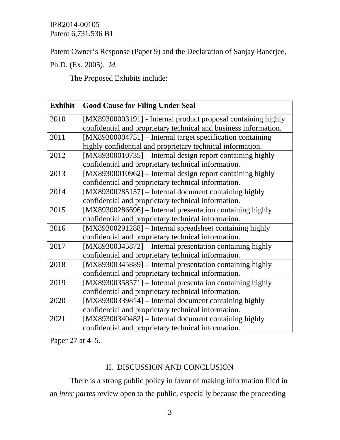Patent Owner's Response (Paper 9) and the Declaration of Sanjay Banerjee,

Ph.D. (Ex. 2005). *Id.* 

The Proposed Exhibits include:

| <b>Exhibit</b> | <b>Good Cause for Filing Under Seal</b>                          |
|----------------|------------------------------------------------------------------|
| 2010           | [MX89300003191] - Internal product proposal containing highly    |
|                | confidential and proprietary technical and business information. |
| 2011           | [MX89300004751] – Internal target specification containing       |
|                | highly confidential and proprietary technical information.       |
| 2012           | [MX89300010735] – Internal design report containing highly       |
|                | confidential and proprietary technical information.              |
| 2013           | [MX89300010962] – Internal design report containing highly       |
|                | confidential and proprietary technical information.              |
| 2014           | [MX89300285157] – Internal document containing highly            |
|                | confidential and proprietary technical information.              |
| 2015           | [MX89300286696] – Internal presentation containing highly        |
|                | confidential and proprietary technical information.              |
| 2016           | [MX89300291288] - Internal spreadsheet containing highly         |
|                | confidential and proprietary technical information.              |
| 2017           | $[MX89300345872]$ – Internal presentation containing highly      |
|                | confidential and proprietary technical information.              |
| 2018           | [MX89300345889] – Internal presentation containing highly        |
|                | confidential and proprietary technical information.              |
| 2019           | $[MX89300358571]$ – Internal presentation containing highly      |
|                | confidential and proprietary technical information.              |
| 2020           | [MX89300339814] – Internal document containing highly            |
|                | confidential and proprietary technical information.              |
| 2021           | [MX89300340482] – Internal document containing highly            |
|                | confidential and proprietary technical information.              |

Paper 27 at 4–5.

### II. DISCUSSION AND CONCLUSION

There is a strong public policy in favor of making information filed in an *inter partes* review open to the public, especially because the proceeding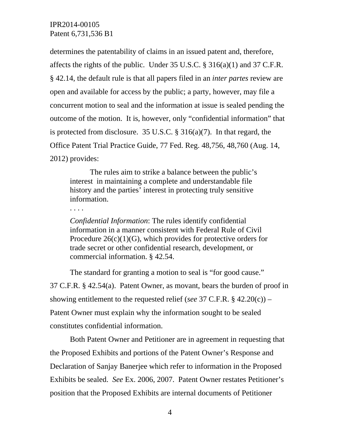. . . .

determines the patentability of claims in an issued patent and, therefore, affects the rights of the public. Under 35 U.S.C. § 316(a)(1) and 37 C.F.R. § 42.14, the default rule is that all papers filed in an *inter partes* review are open and available for access by the public; a party, however, may file a concurrent motion to seal and the information at issue is sealed pending the outcome of the motion. It is, however, only "confidential information" that is protected from disclosure. 35 U.S.C. § 316(a)(7). In that regard, the Office Patent Trial Practice Guide, 77 Fed. Reg. 48,756, 48,760 (Aug. 14, 2012) provides:

The rules aim to strike a balance between the public's interest in maintaining a complete and understandable file history and the parties' interest in protecting truly sensitive information.

*Confidential Information*: The rules identify confidential information in a manner consistent with Federal Rule of Civil Procedure  $26(c)(1)(G)$ , which provides for protective orders for trade secret or other confidential research, development, or commercial information. § 42.54.

The standard for granting a motion to seal is "for good cause." 37 C.F.R. § 42.54(a). Patent Owner, as movant, bears the burden of proof in showing entitlement to the requested relief (*see* 37 C.F.R. § 42.20(c)) – Patent Owner must explain why the information sought to be sealed constitutes confidential information.

Both Patent Owner and Petitioner are in agreement in requesting that the Proposed Exhibits and portions of the Patent Owner's Response and Declaration of Sanjay Banerjee which refer to information in the Proposed Exhibits be sealed. *See* Ex. 2006, 2007. Patent Owner restates Petitioner's position that the Proposed Exhibits are internal documents of Petitioner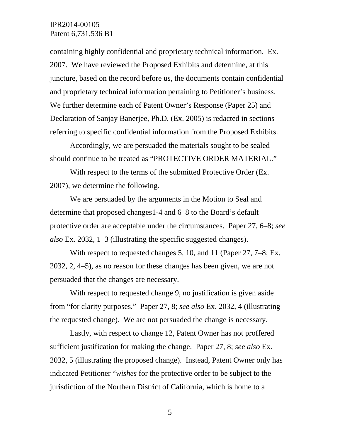containing highly confidential and proprietary technical information. Ex. 2007. We have reviewed the Proposed Exhibits and determine, at this juncture, based on the record before us, the documents contain confidential and proprietary technical information pertaining to Petitioner's business. We further determine each of Patent Owner's Response (Paper 25) and Declaration of Sanjay Banerjee, Ph.D. (Ex. 2005) is redacted in sections referring to specific confidential information from the Proposed Exhibits.

Accordingly, we are persuaded the materials sought to be sealed should continue to be treated as "PROTECTIVE ORDER MATERIAL."

With respect to the terms of the submitted Protective Order (Ex. 2007), we determine the following.

We are persuaded by the arguments in the Motion to Seal and determine that proposed changes1-4 and 6–8 to the Board's default protective order are acceptable under the circumstances. Paper 27, 6–8; *see also* Ex. 2032, 1–3 (illustrating the specific suggested changes).

With respect to requested changes 5, 10, and 11 (Paper 27, 7–8; Ex. 2032, 2, 4–5), as no reason for these changes has been given, we are not persuaded that the changes are necessary.

With respect to requested change 9, no justification is given aside from "for clarity purposes." Paper 27, 8; *see also* Ex. 2032, 4 (illustrating the requested change). We are not persuaded the change is necessary.

Lastly, with respect to change 12, Patent Owner has not proffered sufficient justification for making the change. Paper 27, 8; *see also* Ex. 2032, 5 (illustrating the proposed change). Instead, Patent Owner only has indicated Petitioner "*wishes* for the protective order to be subject to the jurisdiction of the Northern District of California, which is home to a

5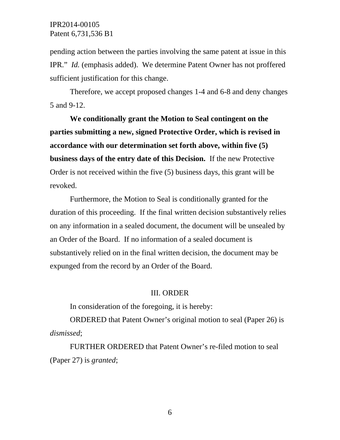pending action between the parties involving the same patent at issue in this IPR." *Id.* (emphasis added). We determine Patent Owner has not proffered sufficient justification for this change.

Therefore, we accept proposed changes 1-4 and 6-8 and deny changes 5 and 9-12.

**We conditionally grant the Motion to Seal contingent on the parties submitting a new, signed Protective Order, which is revised in accordance with our determination set forth above, within five (5) business days of the entry date of this Decision.** If the new Protective Order is not received within the five (5) business days, this grant will be revoked.

Furthermore, the Motion to Seal is conditionally granted for the duration of this proceeding. If the final written decision substantively relies on any information in a sealed document, the document will be unsealed by an Order of the Board. If no information of a sealed document is substantively relied on in the final written decision, the document may be expunged from the record by an Order of the Board.

#### III. ORDER

In consideration of the foregoing, it is hereby:

ORDERED that Patent Owner's original motion to seal (Paper 26) is *dismissed*;

FURTHER ORDERED that Patent Owner's re-filed motion to seal (Paper 27) is *granted*;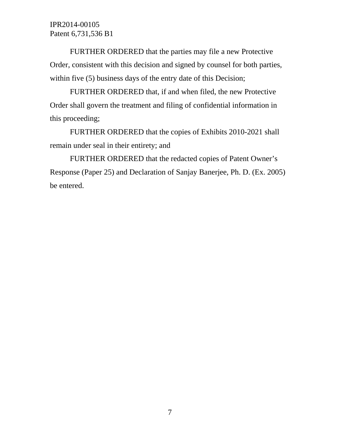FURTHER ORDERED that the parties may file a new Protective Order, consistent with this decision and signed by counsel for both parties, within five (5) business days of the entry date of this Decision;

FURTHER ORDERED that, if and when filed, the new Protective Order shall govern the treatment and filing of confidential information in this proceeding;

FURTHER ORDERED that the copies of Exhibits 2010-2021 shall remain under seal in their entirety; and

FURTHER ORDERED that the redacted copies of Patent Owner's Response (Paper 25) and Declaration of Sanjay Banerjee, Ph. D. (Ex. 2005) be entered.